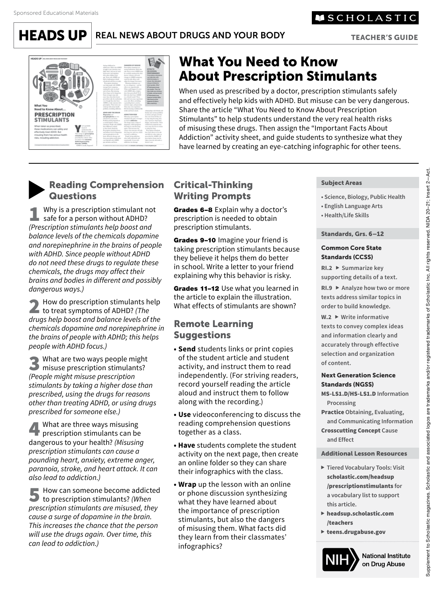

TEACHER'S GUIDE



# What You Need to Know About Prescription Stimulants

When used as prescribed by a doctor, prescription stimulants safely and effectively help kids with ADHD. But misuse can be very dangerous. Share the article "What You Need to Know About Prescription Stimulants" to help students understand the very real health risks of misusing these drugs. Then assign the "Important Facts About Addiction" activity sheet, and guide students to synthesize what they have learned by creating an eye-catching infographic for other teens.

# Reading Comprehension **Questions**

Why is a prescription stimulant not safe for a person without ADHD? *(Prescription stimulants help boost and balance levels of the chemicals dopamine and norepinephrine in the brains of people with ADHD. Since people without ADHD do not need these drugs to regulate these chemicals, the drugs may affect their brains and bodies in different and possibly dangerous ways.)*

2 How do prescription stimulants help<br>to treat symptoms of ADHD? *(The*<br>drugs help beest and belance levels of the *drugs help boost and balance levels of the chemicals dopamine and norepinephrine in the brains of people with ADHD; this helps people with ADHD focus.)*

What are two ways people might misuse prescription stimulants? *(People might misuse prescription stimulants by taking a higher dose than prescribed, using the drugs for reasons other than treating ADHD, or using drugs prescribed for someone else.)*

4 What are three ways misusing<br>prescription stimulants can be<br>dangerous to your boolth? (Misusing dangerous to your health? *(Misusing prescription stimulants can cause a pounding heart, anxiety, extreme anger, paranoia, stroke, and heart attack. It can also lead to addiction.)*

5 How can someone become addicted to prescription stimulants? *(When prescription stimulants are misused, they cause a surge of dopamine in the brain. This increases the chance that the person will use the drugs again. Over time, this can lead to addiction.)*

## Critical-Thinking Writing Prompts

Grades 6-8 Explain why a doctor's prescription is needed to obtain prescription stimulants.

Grades 9-10 Imagine your friend is taking prescription stimulants because they believe it helps them do better in school. Write a letter to your friend explaining why this behavior is risky.

Grades 11-12 Use what you learned in the article to explain the illustration. What effects of stimulants are shown?

## Remote Learning **Suggestions**

- **Send** students links or print copies of the student article and student activity, and instruct them to read independently. (For striving readers, record yourself reading the article aloud and instruct them to follow along with the recording.)
- **Use** videoconferencing to discuss the reading comprehension questions together as a class.
- **Have** students complete the student activity on the next page, then create an online folder so they can share their infographics with the class.
- **Wrap** up the lesson with an online or phone discussion synthesizing what they have learned about the importance of prescription stimulants, but also the dangers of misusing them. What facts did they learn from their classmates' infographics?

#### Subject Areas

- **Science, Biology, Public Health**
- **English Language Arts**
- **Health/Life Skills**

#### Standards, Grs. 6–12

#### Common Core State Standards (CCSS)

**RI.2 Summarize key supporting details of a text.**

**RI.9 Analyze how two or more texts address similar topics in order to build knowledge.**

**W.2 Write informative texts to convey complex ideas and information clearly and accurately through effective selection and organization of content.**

#### Next Generation Science Standards (NGSS)

MS-LS1.D/HS-LS1.D **Information Processing**

Practice **Obtaining, Evaluating, and Communicating Information** Crosscutting Concept **Cause and Effect**

#### Additional Lesson Resources

- **Tiered Vocabulary Tools: Visit**  scholastic.com/headsup [/prescriptionstimulants](http://scholastic.com/headsup/prescriptionstimulants) **for a vocabulary list to support this article.**
- [headsup.scholastic.com](http://headsup.scholastic.com/teachers) /teachers
- [teens.drugabuse.gov](http://teens.drugabuse.gov)